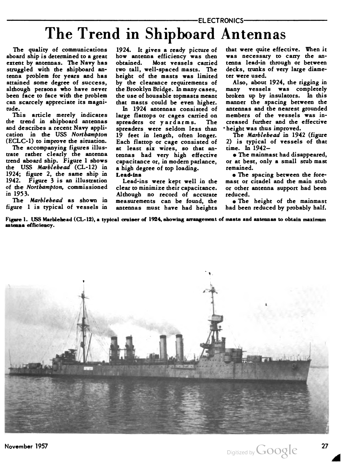## The Trend in Shipboard Antennas

The quality of communications aboard ship is determined to a great extent by antennas. The Navy has struggled with the shipboard an tenna problem for years and has attained some degree of success, although persons who have never been face to face with the problem can scarcely appreciate its magni tude.

This article merely indicates the trend in shipboard antennas and describes a recent Navy appli cation in the USS Northampton (ECLC-1) to improve the situation.

The accompanying figures illus trate rather clearly the antenna trend aboard ship. Figure <sup>1</sup> shows the USS Marblehead (CL-12) in 1924; figure 2, the same ship in 1942. Figure 3 is an illustration of the Northampton, commissioned in 1953.

The Marblehead as shown in figure 1 is typical of vessels in

1924. It gives a ready picture of how antenna efficiency was then obtained. Most vessels carried two tall, well-spaced masts. The height of the masts was limited by the clearance requirements of the Brooklyn Bridge. In many cases, the use of housable topmasts meant that masts could be even higher.

In 1924 antennas consisted of large flattops or cages carried on spreaders or yardarms. The spreaders were seldom less than 19 feet in length, often longer. Each flattop or cage consisted of at least six wires, so that an tennas had very high effective capacitance or, in modern parlance, a high degree of top loading. Lead-ins

Lead-ins were kept well in the clear to minimize their capacitance. Although no record of accurate measurements can be found, the antennas must have had heights that were quite effective. When it was necessary to carry the antenna lead-in through or between decks, trunks of very large diame ter were used.

Also, about 1924, the rigging in many vessels was completely broken up by insulators. In this manner the spacing between the antennas and the nearest grounded members of the vessels was in creased further and the effective • height was thus improved.

The Marblebead in 1942 (figure 2) is typical of vessels of that time. In 1942—

• The mainmast had disappeared, or at best, only a small stub mast remained.

• The spacing between the fore mast or citadel and the main stub or other antenna support had been reduced.

• The height of the mainmast had been reduced by probably half.

Figure 1. USS Marblehead (CL-12), a typical cruiser of 1924, showing arrangement of masts and antennas to obtain maximum antenna efficiency.

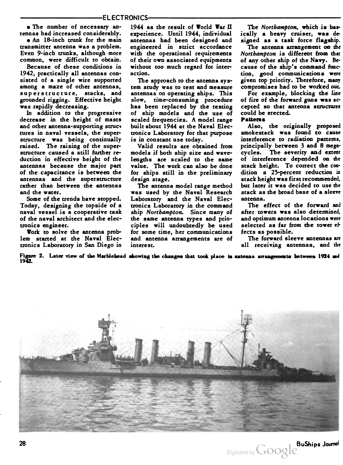• The number of necessary an tennas had increased considerably.

• An 18-inch trunk for the main transmitter antenna was a problem. Even 9-inch trunks, although more common, were difficult to obtain.

Because of these conditions in 1942, practically all antennas con sisted of a single wire supported among a maze of other antennas, superstructure, stacks, and grounded rigging. Effective height was rapidly decreasing.

In addition to the progressive decrease in the height of masts and other antenna-supporting structures in naval vessels, the super structure was being continually raised. The raising of the super structure caused a still further re duction in effective height of the antennas because the major part of the capacitance is between the antennas and the superstructure rather than between the antennas and the water.

Some of the trends have stopped. Today, designing the topside of a naval vessel is a cooperative task of the naval architect and the elec tronics engineer.

Work to solve the antenna problem started at the Naval Elec tronics Laboratory in San Diego in 1944 as the result of World War II experience. Until 1944, individual antennas had been designed and engineered in strict accordance with the operational requirements of their own associated equipments without too much regard for inter action.

The approach to the antenna system study was to test and measure antennas on operating ships. This slow, time-consuming procedure has been replaced by the testing of ship models and the use of scaled frequencies. A model range built about 1944 at the Naval Elec tronics Laboratory for that purpose is in constant use today.

Valid results are obtained from models if both ship size and wave lengths are scaled to the same value. The work can also be done for ships still in the preliminary design stage.

The antenna model range method was used by the Naval Research Laboratory and the Naval Elec tronics Laboratory in the command ship Northampton. Since many of the same antenna types and prin ciples will undoubtedly be used for some time, her communications and antenna arrangements are of interest.

The Northampton, which is basically a heavy cruiser, was de

signed as a task force flagship.<br>The antenna arrangement on the Northampton is different from that of any other ship of the Navy. Be cause of the ship's command func tion, good communications were given top priority. Therefore, many compromises had to be worked out.

For example, blocking the line of fire of the forward guns was ac cepted so that antenna structures could be erected.

## Patterns

Also, the originally proposed smokestack was found to cause interference to radiation patterns, principally between 3 and 8 megacycles. The severity and extent of interference depended on the stack height. To correct the con dition a 25-percent reduction in stack height was first recommended, but later it was decided to use the stack as the broad base of a sleeve antenna.

The effect of the forward and after towers was also determined, and optimum antenna locations were selected as far from the tower ef fects as possible.

The forward sleeve antennas are all receiving antennas, and the

Figure 2. Later view of the Marblehead showing the changes that took place in antenna arrangements between 1924 and<br>1942.